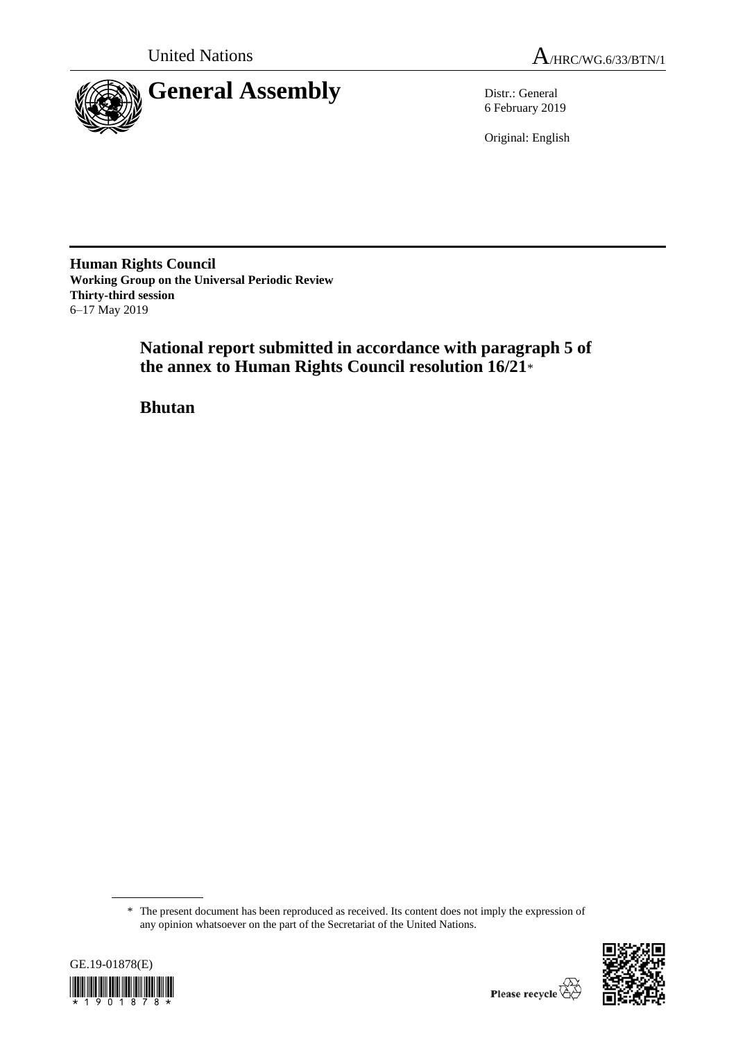



6 February 2019

Original: English

**Human Rights Council Working Group on the Universal Periodic Review Thirty-third session** 6–17 May 2019

> **National report submitted in accordance with paragraph 5 of the annex to Human Rights Council resolution 16/21**\*

**Bhutan**

<sup>\*</sup> The present document has been reproduced as received. Its content does not imply the expression of any opinion whatsoever on the part of the Secretariat of the United Nations.



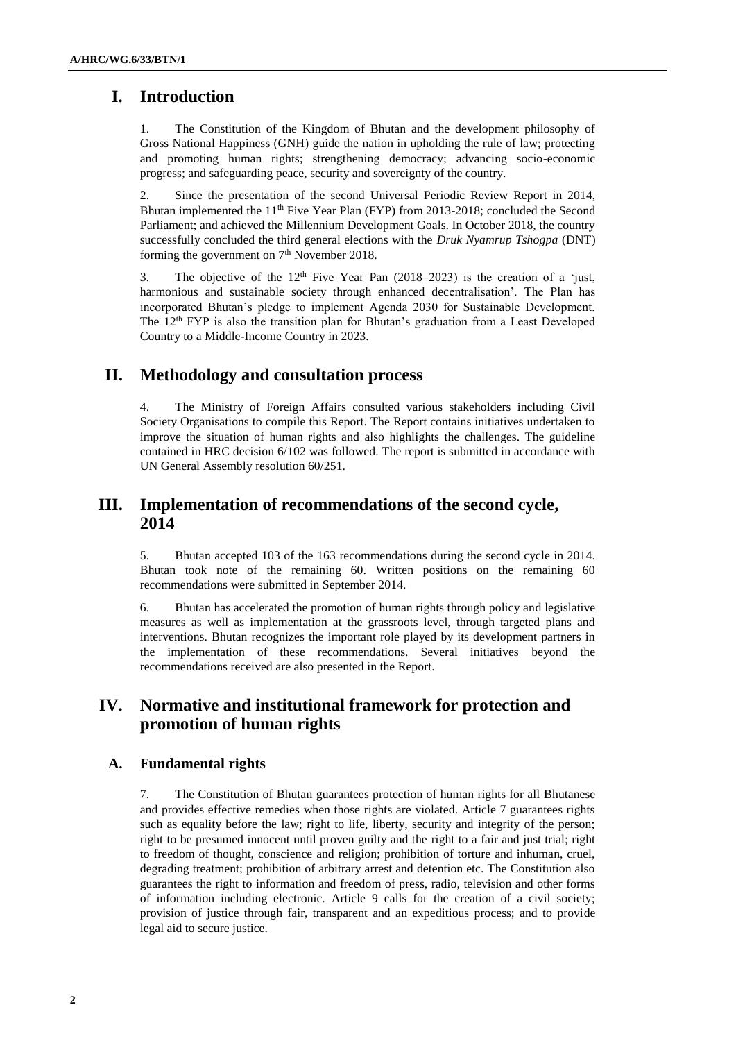# **I. Introduction**

1. The Constitution of the Kingdom of Bhutan and the development philosophy of Gross National Happiness (GNH) guide the nation in upholding the rule of law; protecting and promoting human rights; strengthening democracy; advancing socio-economic progress; and safeguarding peace, security and sovereignty of the country.

2. Since the presentation of the second Universal Periodic Review Report in 2014, Bhutan implemented the 11<sup>th</sup> Five Year Plan (FYP) from 2013-2018; concluded the Second Parliament; and achieved the Millennium Development Goals. In October 2018, the country successfully concluded the third general elections with the *Druk Nyamrup Tshogpa* (DNT) forming the government on  $7<sup>th</sup>$  November 2018.

3. The objective of the  $12<sup>th</sup>$  Five Year Pan (2018–2023) is the creation of a 'just, harmonious and sustainable society through enhanced decentralisation'. The Plan has incorporated Bhutan's pledge to implement Agenda 2030 for Sustainable Development. The  $12<sup>th</sup> FYP$  is also the transition plan for Bhutan's graduation from a Least Developed Country to a Middle-Income Country in 2023.

## **II. Methodology and consultation process**

The Ministry of Foreign Affairs consulted various stakeholders including Civil Society Organisations to compile this Report. The Report contains initiatives undertaken to improve the situation of human rights and also highlights the challenges. The guideline contained in HRC decision 6/102 was followed. The report is submitted in accordance with UN General Assembly resolution 60/251.

# **III. Implementation of recommendations of the second cycle, 2014**

5. Bhutan accepted 103 of the 163 recommendations during the second cycle in 2014. Bhutan took note of the remaining 60. Written positions on the remaining 60 recommendations were submitted in September 2014.

6. Bhutan has accelerated the promotion of human rights through policy and legislative measures as well as implementation at the grassroots level, through targeted plans and interventions. Bhutan recognizes the important role played by its development partners in the implementation of these recommendations. Several initiatives beyond the recommendations received are also presented in the Report.

# **IV. Normative and institutional framework for protection and promotion of human rights**

## **A. Fundamental rights**

7. The Constitution of Bhutan guarantees protection of human rights for all Bhutanese and provides effective remedies when those rights are violated. Article 7 guarantees rights such as equality before the law; right to life, liberty, security and integrity of the person; right to be presumed innocent until proven guilty and the right to a fair and just trial; right to freedom of thought, conscience and religion; prohibition of torture and inhuman, cruel, degrading treatment; prohibition of arbitrary arrest and detention etc. The Constitution also guarantees the right to information and freedom of press, radio, television and other forms of information including electronic. Article 9 calls for the creation of a civil society; provision of justice through fair, transparent and an expeditious process; and to provide legal aid to secure justice.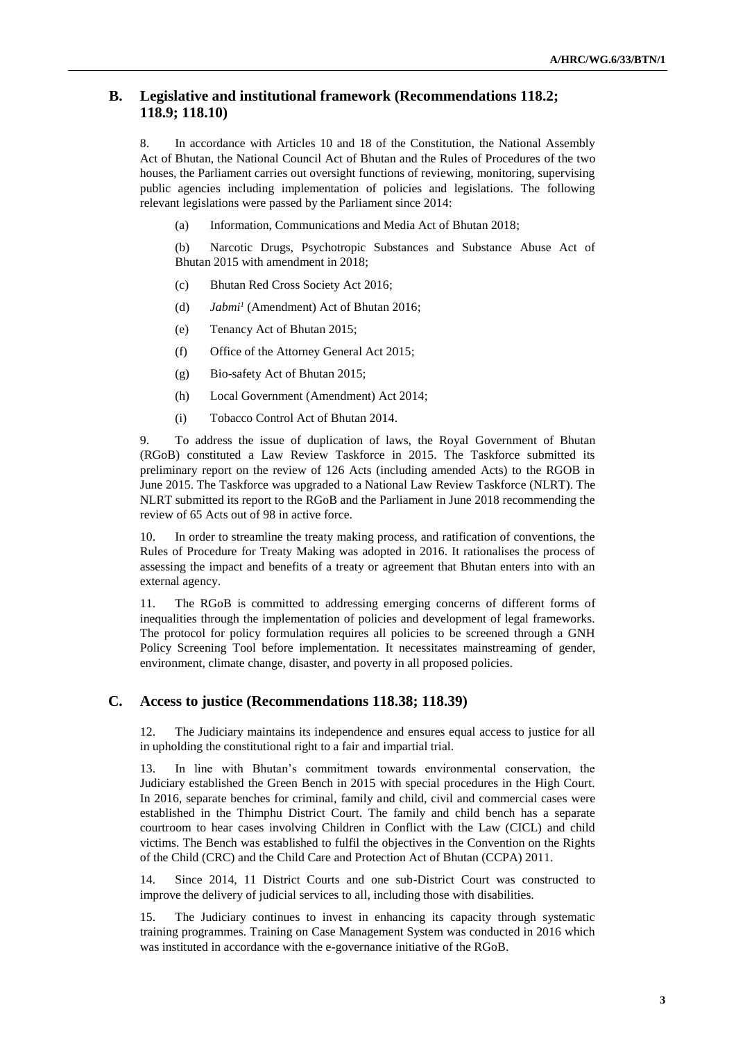## **B. Legislative and institutional framework (Recommendations 118.2; 118.9; 118.10)**

8. In accordance with Articles 10 and 18 of the Constitution, the National Assembly Act of Bhutan, the National Council Act of Bhutan and the Rules of Procedures of the two houses, the Parliament carries out oversight functions of reviewing, monitoring, supervising public agencies including implementation of policies and legislations. The following relevant legislations were passed by the Parliament since 2014:

(a) Information, Communications and Media Act of Bhutan 2018;

(b) Narcotic Drugs, Psychotropic Substances and Substance Abuse Act of Bhutan 2015 with amendment in 2018;

- (c) Bhutan Red Cross Society Act 2016;
- (d) *Jabmi<sup>1</sup>* (Amendment) Act of Bhutan 2016;
- (e) Tenancy Act of Bhutan 2015;
- (f) Office of the Attorney General Act 2015;
- (g) Bio-safety Act of Bhutan 2015;
- (h) Local Government (Amendment) Act 2014;
- (i) Tobacco Control Act of Bhutan 2014.

9. To address the issue of duplication of laws, the Royal Government of Bhutan (RGoB) constituted a Law Review Taskforce in 2015. The Taskforce submitted its preliminary report on the review of 126 Acts (including amended Acts) to the RGOB in June 2015. The Taskforce was upgraded to a National Law Review Taskforce (NLRT). The NLRT submitted its report to the RGoB and the Parliament in June 2018 recommending the review of 65 Acts out of 98 in active force.

10. In order to streamline the treaty making process, and ratification of conventions, the Rules of Procedure for Treaty Making was adopted in 2016. It rationalises the process of assessing the impact and benefits of a treaty or agreement that Bhutan enters into with an external agency.

11. The RGoB is committed to addressing emerging concerns of different forms of inequalities through the implementation of policies and development of legal frameworks. The protocol for policy formulation requires all policies to be screened through a GNH Policy Screening Tool before implementation. It necessitates mainstreaming of gender, environment, climate change, disaster, and poverty in all proposed policies.

### **C. Access to justice (Recommendations 118.38; 118.39)**

12. The Judiciary maintains its independence and ensures equal access to justice for all in upholding the constitutional right to a fair and impartial trial.

13. In line with Bhutan's commitment towards environmental conservation, the Judiciary established the Green Bench in 2015 with special procedures in the High Court. In 2016, separate benches for criminal, family and child, civil and commercial cases were established in the Thimphu District Court. The family and child bench has a separate courtroom to hear cases involving Children in Conflict with the Law (CICL) and child victims. The Bench was established to fulfil the objectives in the Convention on the Rights of the Child (CRC) and the Child Care and Protection Act of Bhutan (CCPA) 2011.

14. Since 2014, 11 District Courts and one sub-District Court was constructed to improve the delivery of judicial services to all, including those with disabilities.

15. The Judiciary continues to invest in enhancing its capacity through systematic training programmes. Training on Case Management System was conducted in 2016 which was instituted in accordance with the e-governance initiative of the RGoB.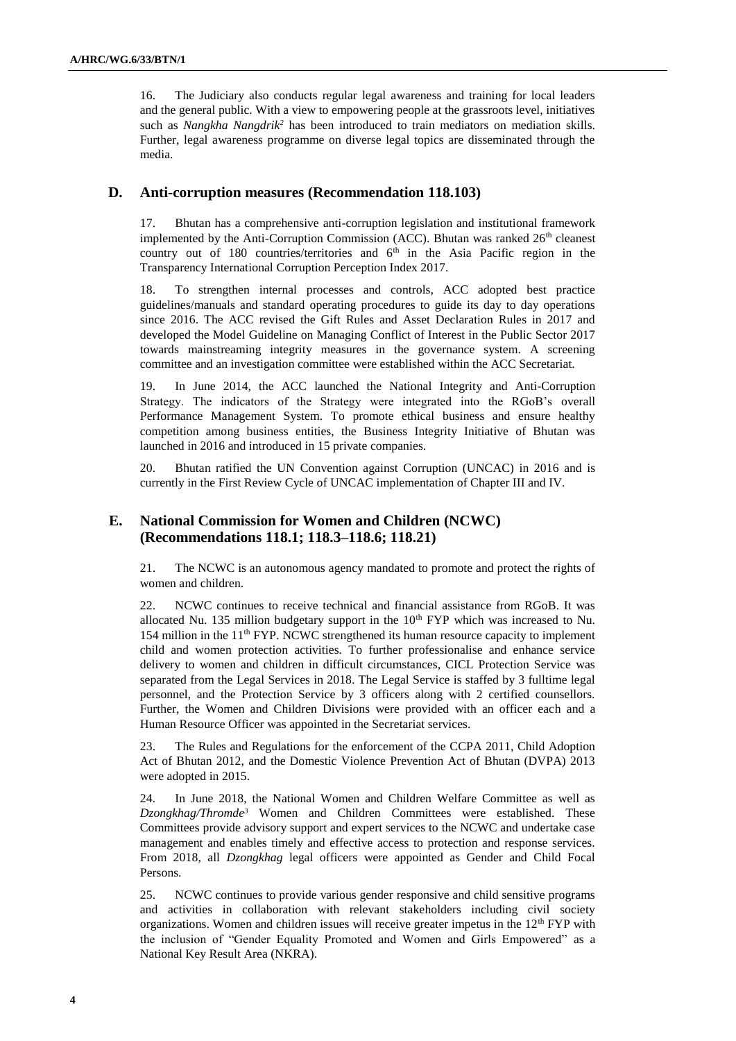16. The Judiciary also conducts regular legal awareness and training for local leaders and the general public. With a view to empowering people at the grassroots level, initiatives such as *Nangkha Nangdrik<sup>2</sup>* has been introduced to train mediators on mediation skills. Further, legal awareness programme on diverse legal topics are disseminated through the media.

### **D. Anti-corruption measures (Recommendation 118.103)**

17. Bhutan has a comprehensive anti-corruption legislation and institutional framework implemented by the Anti-Corruption Commission (ACC). Bhutan was ranked 26<sup>th</sup> cleanest country out of 180 countries/territories and  $6<sup>th</sup>$  in the Asia Pacific region in the Transparency International Corruption Perception Index 2017.

18. To strengthen internal processes and controls, ACC adopted best practice guidelines/manuals and standard operating procedures to guide its day to day operations since 2016. The ACC revised the Gift Rules and Asset Declaration Rules in 2017 and developed the Model Guideline on Managing Conflict of Interest in the Public Sector 2017 towards mainstreaming integrity measures in the governance system. A screening committee and an investigation committee were established within the ACC Secretariat.

19. In June 2014, the ACC launched the National Integrity and Anti-Corruption Strategy. The indicators of the Strategy were integrated into the RGoB's overall Performance Management System. To promote ethical business and ensure healthy competition among business entities, the Business Integrity Initiative of Bhutan was launched in 2016 and introduced in 15 private companies.

20. Bhutan ratified the UN Convention against Corruption (UNCAC) in 2016 and is currently in the First Review Cycle of UNCAC implementation of Chapter III and IV.

## **E. National Commission for Women and Children (NCWC) (Recommendations 118.1; 118.3–118.6; 118.21)**

21. The NCWC is an autonomous agency mandated to promote and protect the rights of women and children.

22. NCWC continues to receive technical and financial assistance from RGoB. It was allocated Nu. 135 million budgetary support in the  $10<sup>th</sup> FYP$  which was increased to Nu. 154 million in the 11<sup>th</sup> FYP. NCWC strengthened its human resource capacity to implement child and women protection activities. To further professionalise and enhance service delivery to women and children in difficult circumstances, CICL Protection Service was separated from the Legal Services in 2018. The Legal Service is staffed by 3 fulltime legal personnel, and the Protection Service by 3 officers along with 2 certified counsellors. Further, the Women and Children Divisions were provided with an officer each and a Human Resource Officer was appointed in the Secretariat services.

23. The Rules and Regulations for the enforcement of the CCPA 2011, Child Adoption Act of Bhutan 2012, and the Domestic Violence Prevention Act of Bhutan (DVPA) 2013 were adopted in 2015.

24. In June 2018, the National Women and Children Welfare Committee as well as *Dzongkhag/Thromde<sup>3</sup>* Women and Children Committees were established. These Committees provide advisory support and expert services to the NCWC and undertake case management and enables timely and effective access to protection and response services. From 2018, all *Dzongkhag* legal officers were appointed as Gender and Child Focal Persons.

25. NCWC continues to provide various gender responsive and child sensitive programs and activities in collaboration with relevant stakeholders including civil society organizations. Women and children issues will receive greater impetus in the  $12<sup>th</sup> FYP$  with the inclusion of "Gender Equality Promoted and Women and Girls Empowered" as a National Key Result Area (NKRA).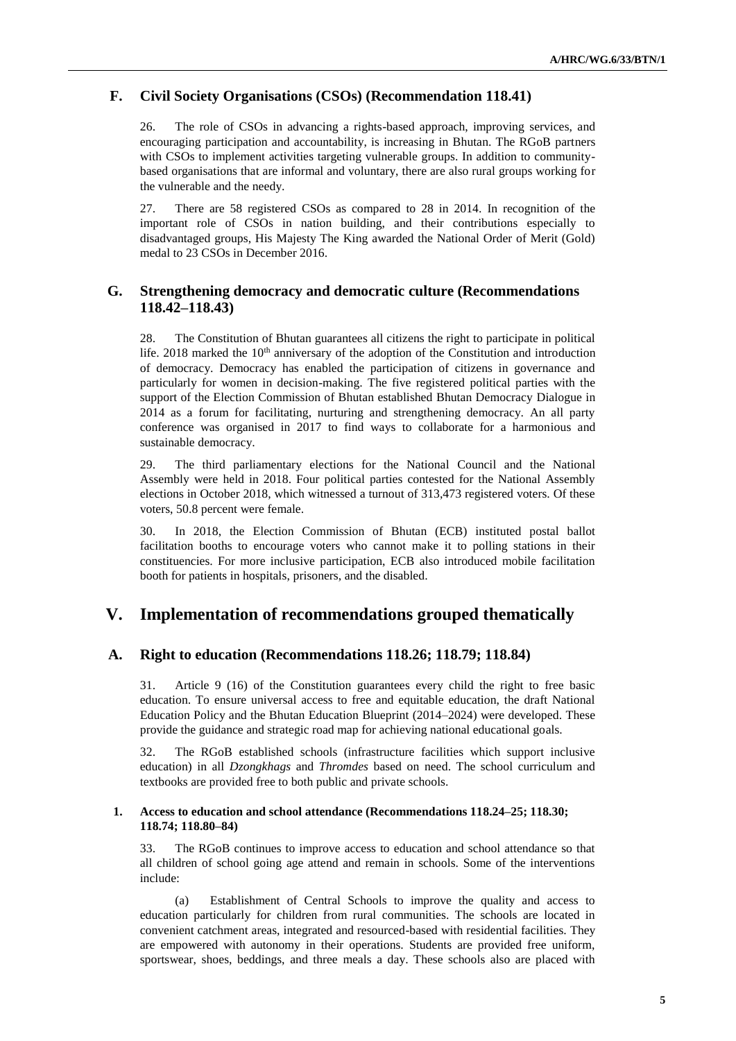### **F. Civil Society Organisations (CSOs) (Recommendation 118.41)**

26. The role of CSOs in advancing a rights-based approach, improving services, and encouraging participation and accountability, is increasing in Bhutan. The RGoB partners with CSOs to implement activities targeting vulnerable groups. In addition to communitybased organisations that are informal and voluntary, there are also rural groups working for the vulnerable and the needy.

27. There are 58 registered CSOs as compared to 28 in 2014. In recognition of the important role of CSOs in nation building, and their contributions especially to disadvantaged groups, His Majesty The King awarded the National Order of Merit (Gold) medal to 23 CSOs in December 2016.

## **G. Strengthening democracy and democratic culture (Recommendations 118.42–118.43)**

28. The Constitution of Bhutan guarantees all citizens the right to participate in political life. 2018 marked the  $10<sup>th</sup>$  anniversary of the adoption of the Constitution and introduction of democracy. Democracy has enabled the participation of citizens in governance and particularly for women in decision-making. The five registered political parties with the support of the Election Commission of Bhutan established Bhutan Democracy Dialogue in 2014 as a forum for facilitating, nurturing and strengthening democracy. An all party conference was organised in 2017 to find ways to collaborate for a harmonious and sustainable democracy.

29. The third parliamentary elections for the National Council and the National Assembly were held in 2018. Four political parties contested for the National Assembly elections in October 2018, which witnessed a turnout of 313,473 registered voters. Of these voters, 50.8 percent were female.

30. In 2018, the Election Commission of Bhutan (ECB) instituted postal ballot facilitation booths to encourage voters who cannot make it to polling stations in their constituencies. For more inclusive participation, ECB also introduced mobile facilitation booth for patients in hospitals, prisoners, and the disabled.

## **V. Implementation of recommendations grouped thematically**

#### **A. Right to education (Recommendations 118.26; 118.79; 118.84)**

31. Article 9 (16) of the Constitution guarantees every child the right to free basic education. To ensure universal access to free and equitable education, the draft National Education Policy and the Bhutan Education Blueprint (2014–2024) were developed. These provide the guidance and strategic road map for achieving national educational goals.

32. The RGoB established schools (infrastructure facilities which support inclusive education) in all *Dzongkhags* and *Thromdes* based on need. The school curriculum and textbooks are provided free to both public and private schools.

#### **1. Access to education and school attendance (Recommendations 118.24–25; 118.30; 118.74; 118.80–84)**

33. The RGoB continues to improve access to education and school attendance so that all children of school going age attend and remain in schools. Some of the interventions include:

(a) Establishment of Central Schools to improve the quality and access to education particularly for children from rural communities. The schools are located in convenient catchment areas, integrated and resourced-based with residential facilities. They are empowered with autonomy in their operations. Students are provided free uniform, sportswear, shoes, beddings, and three meals a day. These schools also are placed with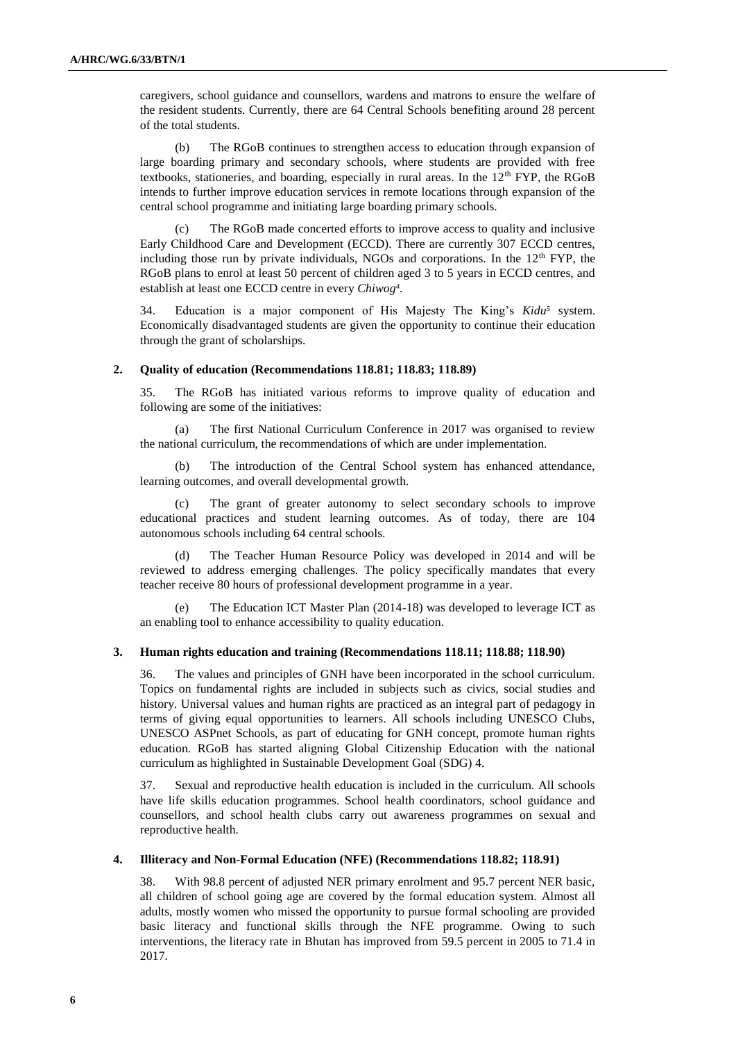caregivers, school guidance and counsellors, wardens and matrons to ensure the welfare of the resident students. Currently, there are 64 Central Schools benefiting around 28 percent of the total students.

(b) The RGoB continues to strengthen access to education through expansion of large boarding primary and secondary schools, where students are provided with free textbooks, stationeries, and boarding, especially in rural areas. In the  $12<sup>th</sup> FYP$ , the RGoB intends to further improve education services in remote locations through expansion of the central school programme and initiating large boarding primary schools.

(c) The RGoB made concerted efforts to improve access to quality and inclusive Early Childhood Care and Development (ECCD). There are currently 307 ECCD centres, including those run by private individuals, NGOs and corporations. In the  $12<sup>th</sup> FYP$ , the RGoB plans to enrol at least 50 percent of children aged 3 to 5 years in ECCD centres, and establish at least one ECCD centre in every *Chiwog<sup>4</sup>* .

34. Education is a major component of His Majesty The King's *Kidu<sup>5</sup>* system. Economically disadvantaged students are given the opportunity to continue their education through the grant of scholarships.

#### **2. Quality of education (Recommendations 118.81; 118.83; 118.89)**

35. The RGoB has initiated various reforms to improve quality of education and following are some of the initiatives:

(a) The first National Curriculum Conference in 2017 was organised to review the national curriculum, the recommendations of which are under implementation.

(b) The introduction of the Central School system has enhanced attendance, learning outcomes, and overall developmental growth.

(c) The grant of greater autonomy to select secondary schools to improve educational practices and student learning outcomes. As of today, there are 104 autonomous schools including 64 central schools.

(d) The Teacher Human Resource Policy was developed in 2014 and will be reviewed to address emerging challenges. The policy specifically mandates that every teacher receive 80 hours of professional development programme in a year.

The Education ICT Master Plan (2014-18) was developed to leverage ICT as an enabling tool to enhance accessibility to quality education.

#### **3. Human rights education and training (Recommendations 118.11; 118.88; 118.90)**

36. The values and principles of GNH have been incorporated in the school curriculum. Topics on fundamental rights are included in subjects such as civics, social studies and history. Universal values and human rights are practiced as an integral part of pedagogy in terms of giving equal opportunities to learners. All schools including UNESCO Clubs, UNESCO ASPnet Schools, as part of educating for GNH concept, promote human rights education. RGoB has started aligning Global Citizenship Education with the national curriculum as highlighted in Sustainable Development Goal (SDG) 4.

37. Sexual and reproductive health education is included in the curriculum. All schools have life skills education programmes. School health coordinators, school guidance and counsellors, and school health clubs carry out awareness programmes on sexual and reproductive health.

#### **4. Illiteracy and Non-Formal Education (NFE) (Recommendations 118.82; 118.91)**

38. With 98.8 percent of adjusted NER primary enrolment and 95.7 percent NER basic, all children of school going age are covered by the formal education system. Almost all adults, mostly women who missed the opportunity to pursue formal schooling are provided basic literacy and functional skills through the NFE programme. Owing to such interventions, the literacy rate in Bhutan has improved from 59.5 percent in 2005 to 71.4 in 2017.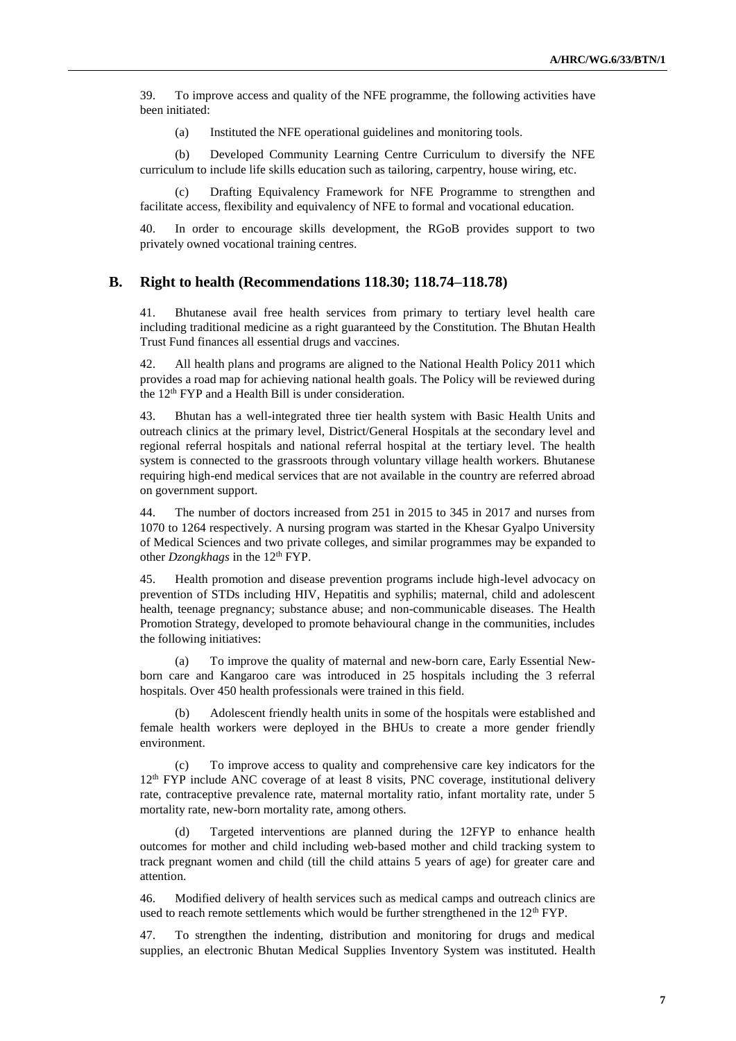39. To improve access and quality of the NFE programme, the following activities have been initiated:

(a) Instituted the NFE operational guidelines and monitoring tools.

(b) Developed Community Learning Centre Curriculum to diversify the NFE curriculum to include life skills education such as tailoring, carpentry, house wiring, etc.

Drafting Equivalency Framework for NFE Programme to strengthen and facilitate access, flexibility and equivalency of NFE to formal and vocational education.

40. In order to encourage skills development, the RGoB provides support to two privately owned vocational training centres.

### **B. Right to health (Recommendations 118.30; 118.74–118.78)**

41. Bhutanese avail free health services from primary to tertiary level health care including traditional medicine as a right guaranteed by the Constitution. The Bhutan Health Trust Fund finances all essential drugs and vaccines.

42. All health plans and programs are aligned to the National Health Policy 2011 which provides a road map for achieving national health goals. The Policy will be reviewed during the 12<sup>th</sup> FYP and a Health Bill is under consideration.

43. Bhutan has a well-integrated three tier health system with Basic Health Units and outreach clinics at the primary level, District/General Hospitals at the secondary level and regional referral hospitals and national referral hospital at the tertiary level. The health system is connected to the grassroots through voluntary village health workers. Bhutanese requiring high-end medical services that are not available in the country are referred abroad on government support.

44. The number of doctors increased from 251 in 2015 to 345 in 2017 and nurses from 1070 to 1264 respectively. A nursing program was started in the Khesar Gyalpo University of Medical Sciences and two private colleges, and similar programmes may be expanded to other *Dzongkhags* in the 12<sup>th</sup> FYP.

45. Health promotion and disease prevention programs include high-level advocacy on prevention of STDs including HIV, Hepatitis and syphilis; maternal, child and adolescent health, teenage pregnancy; substance abuse; and non-communicable diseases. The Health Promotion Strategy, developed to promote behavioural change in the communities, includes the following initiatives:

(a) To improve the quality of maternal and new-born care, Early Essential Newborn care and Kangaroo care was introduced in 25 hospitals including the 3 referral hospitals. Over 450 health professionals were trained in this field.

(b) Adolescent friendly health units in some of the hospitals were established and female health workers were deployed in the BHUs to create a more gender friendly environment.

(c) To improve access to quality and comprehensive care key indicators for the  $12<sup>th</sup> FYP$  include ANC coverage of at least 8 visits, PNC coverage, institutional delivery rate, contraceptive prevalence rate, maternal mortality ratio, infant mortality rate, under 5 mortality rate, new-born mortality rate, among others.

Targeted interventions are planned during the 12FYP to enhance health outcomes for mother and child including web-based mother and child tracking system to track pregnant women and child (till the child attains 5 years of age) for greater care and attention.

46. Modified delivery of health services such as medical camps and outreach clinics are used to reach remote settlements which would be further strengthened in the 12<sup>th</sup> FYP.

47. To strengthen the indenting, distribution and monitoring for drugs and medical supplies, an electronic Bhutan Medical Supplies Inventory System was instituted. Health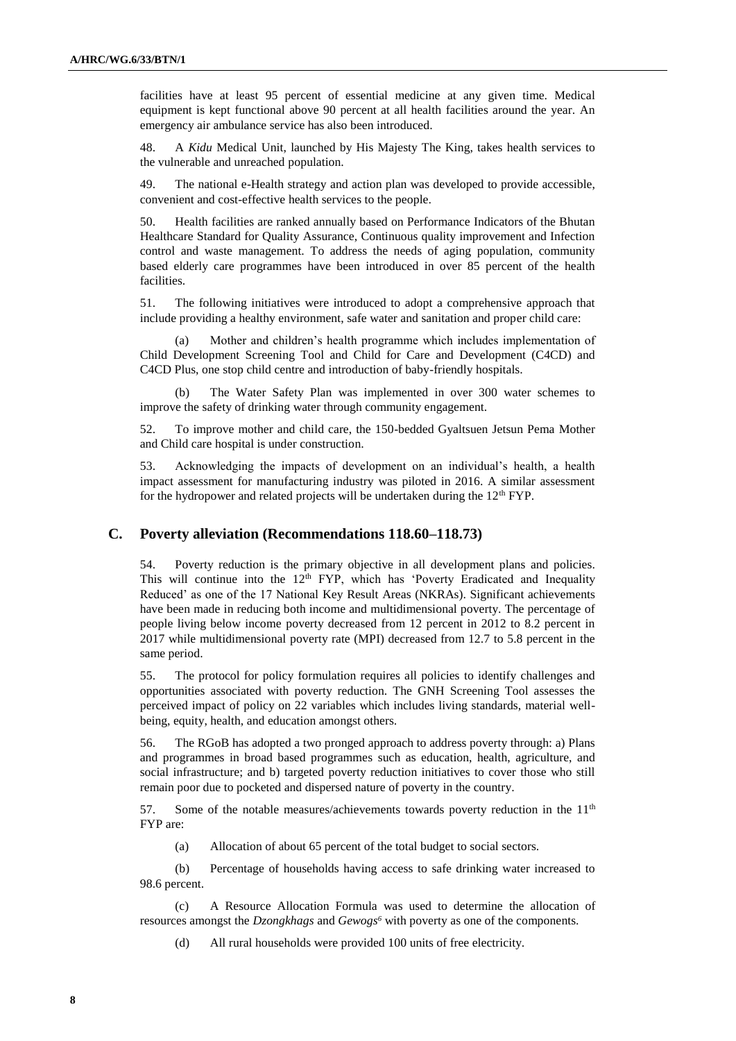facilities have at least 95 percent of essential medicine at any given time. Medical equipment is kept functional above 90 percent at all health facilities around the year. An emergency air ambulance service has also been introduced.

48. A *Kidu* Medical Unit, launched by His Majesty The King, takes health services to the vulnerable and unreached population.

49. The national e-Health strategy and action plan was developed to provide accessible, convenient and cost-effective health services to the people.

50. Health facilities are ranked annually based on Performance Indicators of the Bhutan Healthcare Standard for Quality Assurance, Continuous quality improvement and Infection control and waste management. To address the needs of aging population, community based elderly care programmes have been introduced in over 85 percent of the health facilities.

51. The following initiatives were introduced to adopt a comprehensive approach that include providing a healthy environment, safe water and sanitation and proper child care:

(a) Mother and children's health programme which includes implementation of Child Development Screening Tool and Child for Care and Development (C4CD) and C4CD Plus, one stop child centre and introduction of baby-friendly hospitals.

(b) The Water Safety Plan was implemented in over 300 water schemes to improve the safety of drinking water through community engagement.

52. To improve mother and child care, the 150-bedded Gyaltsuen Jetsun Pema Mother and Child care hospital is under construction.

53. Acknowledging the impacts of development on an individual's health, a health impact assessment for manufacturing industry was piloted in 2016. A similar assessment for the hydropower and related projects will be undertaken during the  $12<sup>th</sup> FYP$ .

### **C. Poverty alleviation (Recommendations 118.60–118.73)**

54. Poverty reduction is the primary objective in all development plans and policies. This will continue into the  $12<sup>th</sup>$  FYP, which has 'Poverty Eradicated and Inequality Reduced' as one of the 17 National Key Result Areas (NKRAs). Significant achievements have been made in reducing both income and multidimensional poverty. The percentage of people living below income poverty decreased from 12 percent in 2012 to 8.2 percent in 2017 while multidimensional poverty rate (MPI) decreased from 12.7 to 5.8 percent in the same period.

55. The protocol for policy formulation requires all policies to identify challenges and opportunities associated with poverty reduction. The GNH Screening Tool assesses the perceived impact of policy on 22 variables which includes living standards, material wellbeing, equity, health, and education amongst others.

56. The RGoB has adopted a two pronged approach to address poverty through: a) Plans and programmes in broad based programmes such as education, health, agriculture, and social infrastructure; and b) targeted poverty reduction initiatives to cover those who still remain poor due to pocketed and dispersed nature of poverty in the country.

57. Some of the notable measures/achievements towards poverty reduction in the 11<sup>th</sup> FYP are:

(a) Allocation of about 65 percent of the total budget to social sectors.

(b) Percentage of households having access to safe drinking water increased to 98.6 percent.

(c) A Resource Allocation Formula was used to determine the allocation of resources amongst the *Dzongkhags* and *Gewogs<sup>6</sup>* with poverty as one of the components.

(d) All rural households were provided 100 units of free electricity.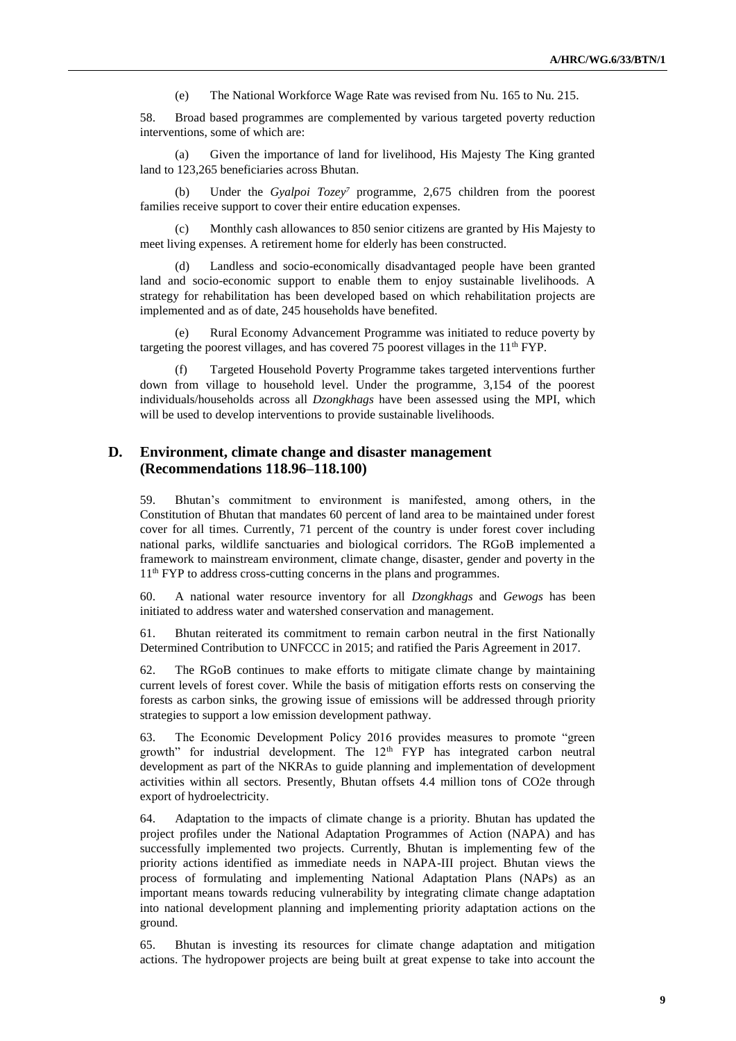(e) The National Workforce Wage Rate was revised from Nu. 165 to Nu. 215.

58. Broad based programmes are complemented by various targeted poverty reduction interventions, some of which are:

(a) Given the importance of land for livelihood, His Majesty The King granted land to 123,265 beneficiaries across Bhutan.

Under the *Gyalpoi Tozey<sup>7</sup>* programme, 2,675 children from the poorest families receive support to cover their entire education expenses.

Monthly cash allowances to 850 senior citizens are granted by His Majesty to meet living expenses. A retirement home for elderly has been constructed.

(d) Landless and socio-economically disadvantaged people have been granted land and socio-economic support to enable them to enjoy sustainable livelihoods. A strategy for rehabilitation has been developed based on which rehabilitation projects are implemented and as of date, 245 households have benefited.

(e) Rural Economy Advancement Programme was initiated to reduce poverty by targeting the poorest villages, and has covered 75 poorest villages in the  $11<sup>th</sup> FYP$ .

(f) Targeted Household Poverty Programme takes targeted interventions further down from village to household level. Under the programme, 3,154 of the poorest individuals/households across all *Dzongkhags* have been assessed using the MPI, which will be used to develop interventions to provide sustainable livelihoods.

## **D. Environment, climate change and disaster management (Recommendations 118.96–118.100)**

59. Bhutan's commitment to environment is manifested, among others, in the Constitution of Bhutan that mandates 60 percent of land area to be maintained under forest cover for all times. Currently, 71 percent of the country is under forest cover including national parks, wildlife sanctuaries and biological corridors. The RGoB implemented a framework to mainstream environment, climate change, disaster, gender and poverty in the 11<sup>th</sup> FYP to address cross-cutting concerns in the plans and programmes.

60. A national water resource inventory for all *Dzongkhags* and *Gewogs* has been initiated to address water and watershed conservation and management.

61. Bhutan reiterated its commitment to remain carbon neutral in the first Nationally Determined Contribution to UNFCCC in 2015; and ratified the Paris Agreement in 2017.

62. The RGoB continues to make efforts to mitigate climate change by maintaining current levels of forest cover. While the basis of mitigation efforts rests on conserving the forests as carbon sinks, the growing issue of emissions will be addressed through priority strategies to support a low emission development pathway.

63. The Economic Development Policy 2016 provides measures to promote "green growth" for industrial development. The  $12<sup>th</sup>$  FYP has integrated carbon neutral development as part of the NKRAs to guide planning and implementation of development activities within all sectors. Presently, Bhutan offsets 4.4 million tons of CO2e through export of hydroelectricity.

64. Adaptation to the impacts of climate change is a priority. Bhutan has updated the project profiles under the National Adaptation Programmes of Action (NAPA) and has successfully implemented two projects. Currently, Bhutan is implementing few of the priority actions identified as immediate needs in NAPA-III project. Bhutan views the process of formulating and implementing National Adaptation Plans (NAPs) as an important means towards reducing vulnerability by integrating climate change adaptation into national development planning and implementing priority adaptation actions on the ground.

65. Bhutan is investing its resources for climate change adaptation and mitigation actions. The hydropower projects are being built at great expense to take into account the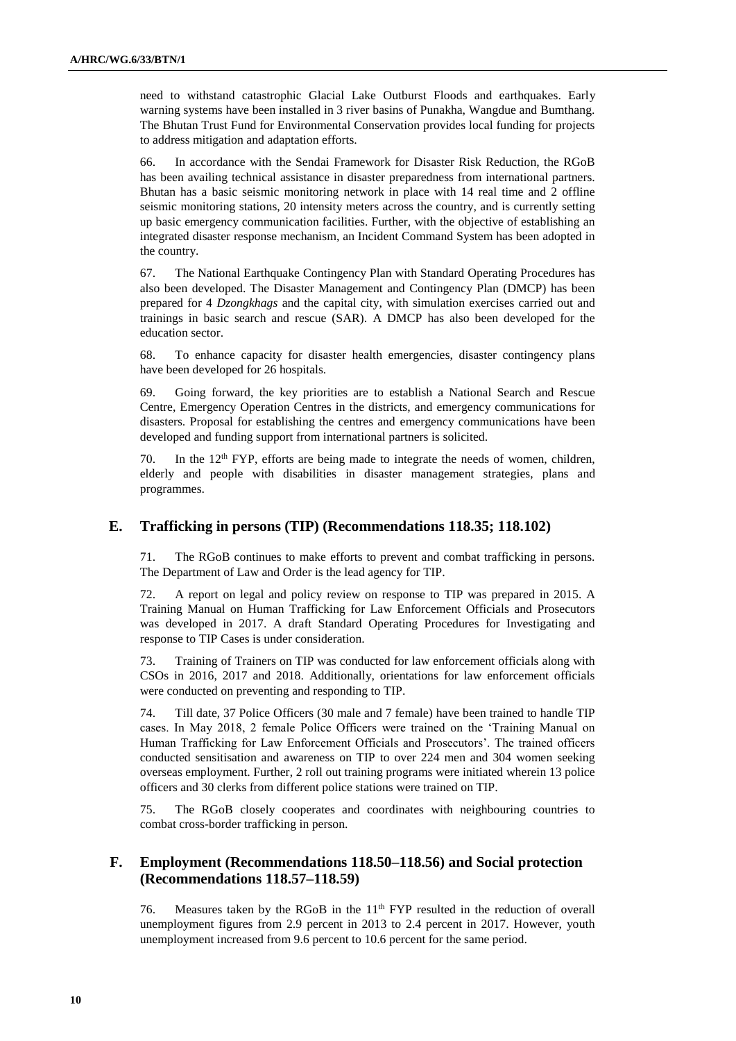need to withstand catastrophic Glacial Lake Outburst Floods and earthquakes. Early warning systems have been installed in 3 river basins of Punakha, Wangdue and Bumthang. The Bhutan Trust Fund for Environmental Conservation provides local funding for projects to address mitigation and adaptation efforts.

66. In accordance with the Sendai Framework for Disaster Risk Reduction, the RGoB has been availing technical assistance in disaster preparedness from international partners. Bhutan has a basic seismic monitoring network in place with 14 real time and 2 offline seismic monitoring stations, 20 intensity meters across the country, and is currently setting up basic emergency communication facilities. Further, with the objective of establishing an integrated disaster response mechanism, an Incident Command System has been adopted in the country.

67. The National Earthquake Contingency Plan with Standard Operating Procedures has also been developed. The Disaster Management and Contingency Plan (DMCP) has been prepared for 4 *Dzongkhags* and the capital city, with simulation exercises carried out and trainings in basic search and rescue (SAR). A DMCP has also been developed for the education sector.

68. To enhance capacity for disaster health emergencies, disaster contingency plans have been developed for 26 hospitals.

69. Going forward, the key priorities are to establish a National Search and Rescue Centre, Emergency Operation Centres in the districts, and emergency communications for disasters. Proposal for establishing the centres and emergency communications have been developed and funding support from international partners is solicited.

70. In the 12th FYP, efforts are being made to integrate the needs of women, children, elderly and people with disabilities in disaster management strategies, plans and programmes.

### **E. Trafficking in persons (TIP) (Recommendations 118.35; 118.102)**

71. The RGoB continues to make efforts to prevent and combat trafficking in persons. The Department of Law and Order is the lead agency for TIP.

72. A report on legal and policy review on response to TIP was prepared in 2015. A Training Manual on Human Trafficking for Law Enforcement Officials and Prosecutors was developed in 2017. A draft Standard Operating Procedures for Investigating and response to TIP Cases is under consideration.

73. Training of Trainers on TIP was conducted for law enforcement officials along with CSOs in 2016, 2017 and 2018. Additionally, orientations for law enforcement officials were conducted on preventing and responding to TIP.

74. Till date, 37 Police Officers (30 male and 7 female) have been trained to handle TIP cases. In May 2018, 2 female Police Officers were trained on the 'Training Manual on Human Trafficking for Law Enforcement Officials and Prosecutors'. The trained officers conducted sensitisation and awareness on TIP to over 224 men and 304 women seeking overseas employment. Further, 2 roll out training programs were initiated wherein 13 police officers and 30 clerks from different police stations were trained on TIP.

75. The RGoB closely cooperates and coordinates with neighbouring countries to combat cross-border trafficking in person.

## **F. Employment (Recommendations 118.50–118.56) and Social protection (Recommendations 118.57–118.59)**

76. Measures taken by the RGoB in the 11<sup>th</sup> FYP resulted in the reduction of overall unemployment figures from 2.9 percent in 2013 to 2.4 percent in 2017. However, youth unemployment increased from 9.6 percent to 10.6 percent for the same period.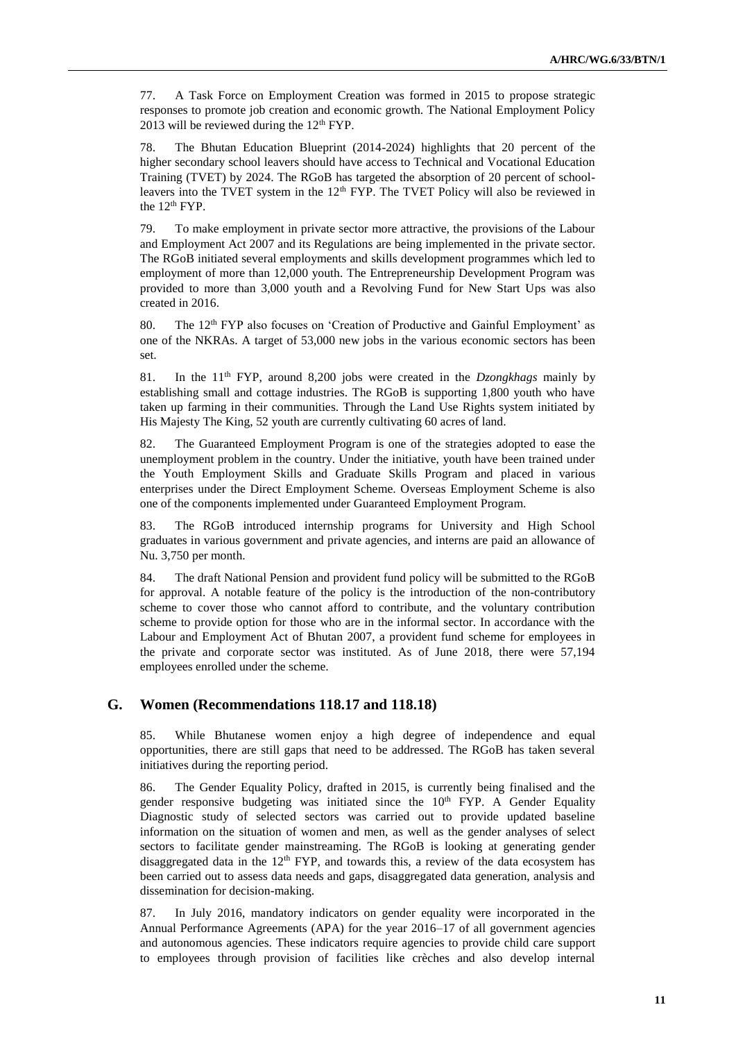77. A Task Force on Employment Creation was formed in 2015 to propose strategic responses to promote job creation and economic growth. The National Employment Policy 2013 will be reviewed during the  $12<sup>th</sup> FYP$ .

78. The Bhutan Education Blueprint (2014-2024) highlights that 20 percent of the higher secondary school leavers should have access to Technical and Vocational Education Training (TVET) by 2024. The RGoB has targeted the absorption of 20 percent of schoolleavers into the TVET system in the  $12<sup>th</sup> FYP$ . The TVET Policy will also be reviewed in the 12<sup>th</sup> FYP.

79. To make employment in private sector more attractive, the provisions of the Labour and Employment Act 2007 and its Regulations are being implemented in the private sector. The RGoB initiated several employments and skills development programmes which led to employment of more than 12,000 youth. The Entrepreneurship Development Program was provided to more than 3,000 youth and a Revolving Fund for New Start Ups was also created in 2016.

80. The 12th FYP also focuses on 'Creation of Productive and Gainful Employment' as one of the NKRAs. A target of 53,000 new jobs in the various economic sectors has been set.

81. In the 11th FYP, around 8,200 jobs were created in the *Dzongkhags* mainly by establishing small and cottage industries. The RGoB is supporting 1,800 youth who have taken up farming in their communities. Through the Land Use Rights system initiated by His Majesty The King, 52 youth are currently cultivating 60 acres of land.

82. The Guaranteed Employment Program is one of the strategies adopted to ease the unemployment problem in the country. Under the initiative, youth have been trained under the Youth Employment Skills and Graduate Skills Program and placed in various enterprises under the Direct Employment Scheme. Overseas Employment Scheme is also one of the components implemented under Guaranteed Employment Program.

83. The RGoB introduced internship programs for University and High School graduates in various government and private agencies, and interns are paid an allowance of Nu. 3,750 per month.

84. The draft National Pension and provident fund policy will be submitted to the RGoB for approval. A notable feature of the policy is the introduction of the non-contributory scheme to cover those who cannot afford to contribute, and the voluntary contribution scheme to provide option for those who are in the informal sector. In accordance with the Labour and Employment Act of Bhutan 2007, a provident fund scheme for employees in the private and corporate sector was instituted. As of June 2018, there were 57,194 employees enrolled under the scheme.

#### **G. Women (Recommendations 118.17 and 118.18)**

85. While Bhutanese women enjoy a high degree of independence and equal opportunities, there are still gaps that need to be addressed. The RGoB has taken several initiatives during the reporting period.

86. The Gender Equality Policy, drafted in 2015, is currently being finalised and the gender responsive budgeting was initiated since the  $10<sup>th</sup> FYP$ . A Gender Equality Diagnostic study of selected sectors was carried out to provide updated baseline information on the situation of women and men, as well as the gender analyses of select sectors to facilitate gender mainstreaming. The RGoB is looking at generating gender disaggregated data in the  $12<sup>th</sup> FYP$ , and towards this, a review of the data ecosystem has been carried out to assess data needs and gaps, disaggregated data generation, analysis and dissemination for decision-making.

87. In July 2016, mandatory indicators on gender equality were incorporated in the Annual Performance Agreements (APA) for the year 2016–17 of all government agencies and autonomous agencies. These indicators require agencies to provide child care support to employees through provision of facilities like crèches and also develop internal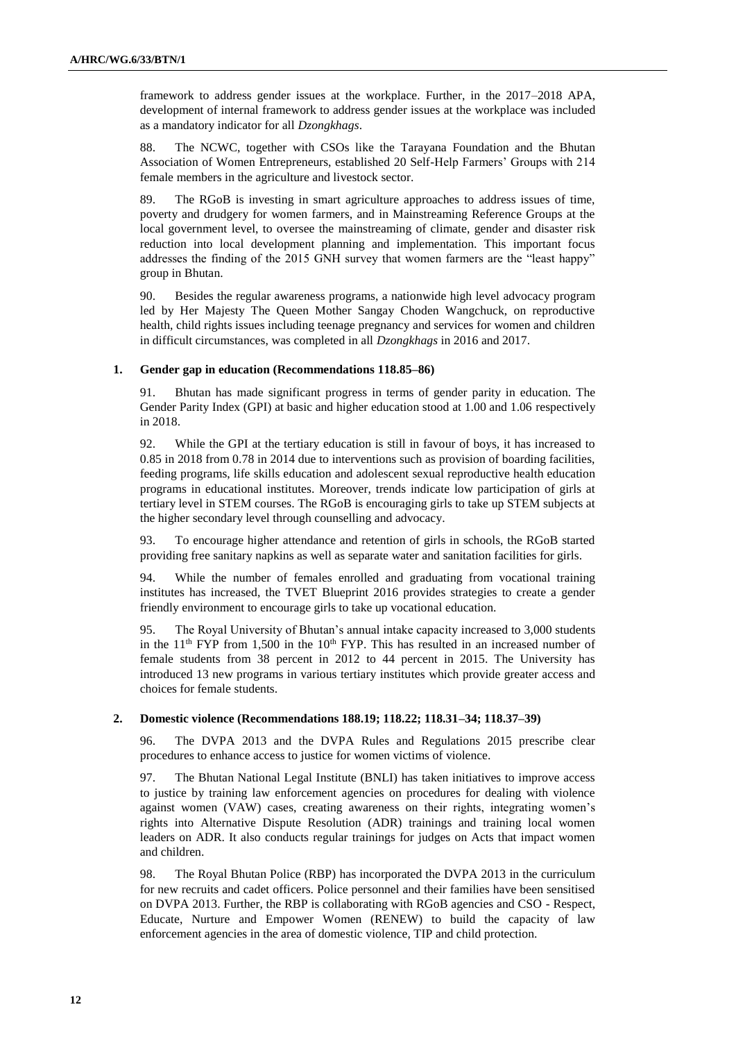framework to address gender issues at the workplace. Further, in the 2017–2018 APA, development of internal framework to address gender issues at the workplace was included as a mandatory indicator for all *Dzongkhags*.

88. The NCWC, together with CSOs like the Tarayana Foundation and the Bhutan Association of Women Entrepreneurs, established 20 Self-Help Farmers' Groups with 214 female members in the agriculture and livestock sector.

89. The RGoB is investing in smart agriculture approaches to address issues of time, poverty and drudgery for women farmers, and in Mainstreaming Reference Groups at the local government level, to oversee the mainstreaming of climate, gender and disaster risk reduction into local development planning and implementation. This important focus addresses the finding of the 2015 GNH survey that women farmers are the "least happy" group in Bhutan.

90. Besides the regular awareness programs, a nationwide high level advocacy program led by Her Majesty The Queen Mother Sangay Choden Wangchuck, on reproductive health, child rights issues including teenage pregnancy and services for women and children in difficult circumstances, was completed in all *Dzongkhags* in 2016 and 2017.

#### **1. Gender gap in education (Recommendations 118.85–86)**

91. Bhutan has made significant progress in terms of gender parity in education. The Gender Parity Index (GPI) at basic and higher education stood at 1.00 and 1.06 respectively in 2018.

92. While the GPI at the tertiary education is still in favour of boys, it has increased to 0.85 in 2018 from 0.78 in 2014 due to interventions such as provision of boarding facilities, feeding programs, life skills education and adolescent sexual reproductive health education programs in educational institutes. Moreover, trends indicate low participation of girls at tertiary level in STEM courses. The RGoB is encouraging girls to take up STEM subjects at the higher secondary level through counselling and advocacy.

93. To encourage higher attendance and retention of girls in schools, the RGoB started providing free sanitary napkins as well as separate water and sanitation facilities for girls.

94. While the number of females enrolled and graduating from vocational training institutes has increased, the TVET Blueprint 2016 provides strategies to create a gender friendly environment to encourage girls to take up vocational education.

95. The Royal University of Bhutan's annual intake capacity increased to 3,000 students in the  $11<sup>th</sup> FYP$  from 1,500 in the  $10<sup>th</sup> FYP$ . This has resulted in an increased number of female students from 38 percent in 2012 to 44 percent in 2015. The University has introduced 13 new programs in various tertiary institutes which provide greater access and choices for female students.

#### **2. Domestic violence (Recommendations 188.19; 118.22; 118.31–34; 118.37–39)**

96. The DVPA 2013 and the DVPA Rules and Regulations 2015 prescribe clear procedures to enhance access to justice for women victims of violence.

97. The Bhutan National Legal Institute (BNLI) has taken initiatives to improve access to justice by training law enforcement agencies on procedures for dealing with violence against women (VAW) cases, creating awareness on their rights, integrating women's rights into Alternative Dispute Resolution (ADR) trainings and training local women leaders on ADR. It also conducts regular trainings for judges on Acts that impact women and children.

98. The Royal Bhutan Police (RBP) has incorporated the DVPA 2013 in the curriculum for new recruits and cadet officers. Police personnel and their families have been sensitised on DVPA 2013. Further, the RBP is collaborating with RGoB agencies and CSO - Respect, Educate, Nurture and Empower Women (RENEW) to build the capacity of law enforcement agencies in the area of domestic violence, TIP and child protection.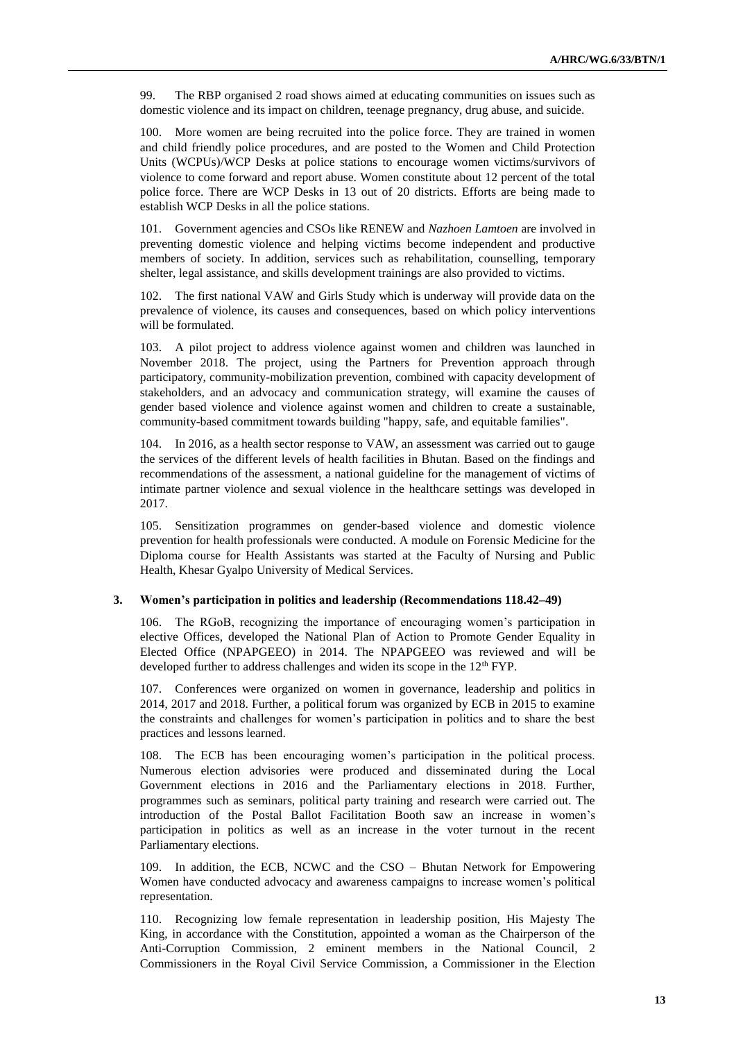99. The RBP organised 2 road shows aimed at educating communities on issues such as domestic violence and its impact on children, teenage pregnancy, drug abuse, and suicide.

100. More women are being recruited into the police force. They are trained in women and child friendly police procedures, and are posted to the Women and Child Protection Units (WCPUs)/WCP Desks at police stations to encourage women victims/survivors of violence to come forward and report abuse. Women constitute about 12 percent of the total police force. There are WCP Desks in 13 out of 20 districts. Efforts are being made to establish WCP Desks in all the police stations.

101. Government agencies and CSOs like RENEW and *Nazhoen Lamtoen* are involved in preventing domestic violence and helping victims become independent and productive members of society. In addition, services such as rehabilitation, counselling, temporary shelter, legal assistance, and skills development trainings are also provided to victims.

102. The first national VAW and Girls Study which is underway will provide data on the prevalence of violence, its causes and consequences, based on which policy interventions will be formulated.

103. A pilot project to address violence against women and children was launched in November 2018. The project, using the Partners for Prevention approach through participatory, community-mobilization prevention, combined with capacity development of stakeholders, and an advocacy and communication strategy, will examine the causes of gender based violence and violence against women and children to create a sustainable, community-based commitment towards building "happy, safe, and equitable families".

104. In 2016, as a health sector response to VAW, an assessment was carried out to gauge the services of the different levels of health facilities in Bhutan. Based on the findings and recommendations of the assessment, a national guideline for the management of victims of intimate partner violence and sexual violence in the healthcare settings was developed in 2017.

105. Sensitization programmes on gender-based violence and domestic violence prevention for health professionals were conducted. A module on Forensic Medicine for the Diploma course for Health Assistants was started at the Faculty of Nursing and Public Health, Khesar Gyalpo University of Medical Services.

#### **3. Women's participation in politics and leadership (Recommendations 118.42–49)**

106. The RGoB, recognizing the importance of encouraging women's participation in elective Offices, developed the National Plan of Action to Promote Gender Equality in Elected Office (NPAPGEEO) in 2014. The NPAPGEEO was reviewed and will be developed further to address challenges and widen its scope in the  $12<sup>th</sup> FYP$ .

107. Conferences were organized on women in governance, leadership and politics in 2014, 2017 and 2018. Further, a political forum was organized by ECB in 2015 to examine the constraints and challenges for women's participation in politics and to share the best practices and lessons learned.

108. The ECB has been encouraging women's participation in the political process. Numerous election advisories were produced and disseminated during the Local Government elections in 2016 and the Parliamentary elections in 2018. Further, programmes such as seminars, political party training and research were carried out. The introduction of the Postal Ballot Facilitation Booth saw an increase in women's participation in politics as well as an increase in the voter turnout in the recent Parliamentary elections.

109. In addition, the ECB, NCWC and the CSO – Bhutan Network for Empowering Women have conducted advocacy and awareness campaigns to increase women's political representation.

110. Recognizing low female representation in leadership position, His Majesty The King, in accordance with the Constitution, appointed a woman as the Chairperson of the Anti-Corruption Commission, 2 eminent members in the National Council, 2 Commissioners in the Royal Civil Service Commission, a Commissioner in the Election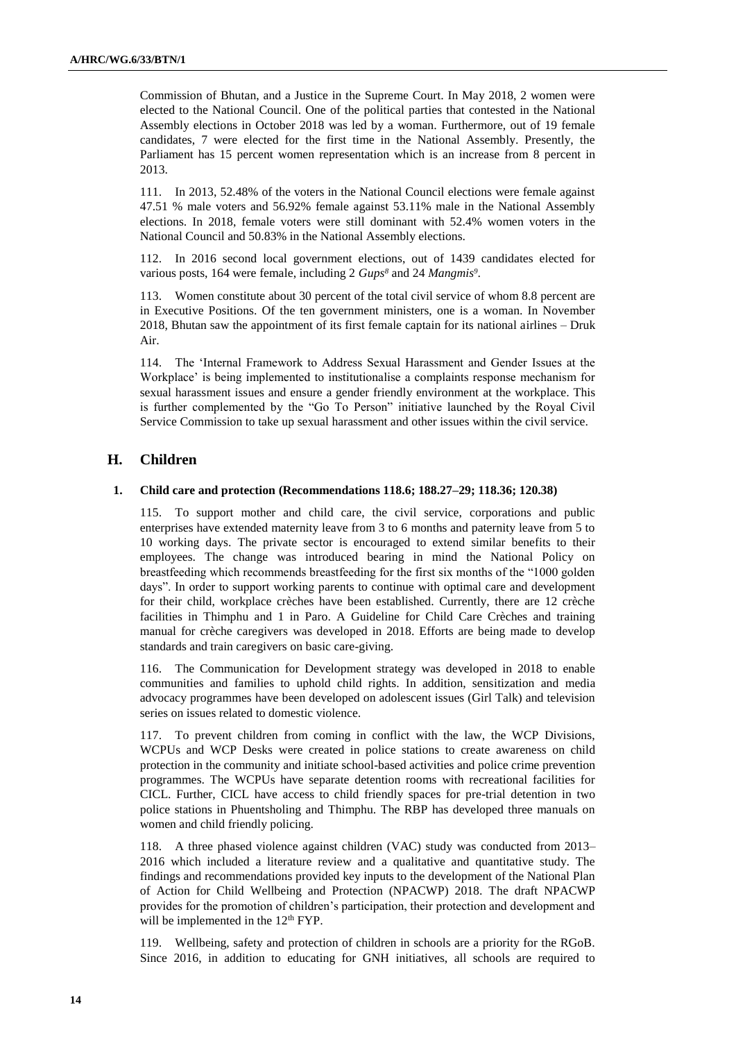Commission of Bhutan, and a Justice in the Supreme Court. In May 2018, 2 women were elected to the National Council. One of the political parties that contested in the National Assembly elections in October 2018 was led by a woman. Furthermore, out of 19 female candidates, 7 were elected for the first time in the National Assembly. Presently, the Parliament has 15 percent women representation which is an increase from 8 percent in 2013.

111. In 2013, 52.48% of the voters in the National Council elections were female against 47.51 % male voters and 56.92% female against 53.11% male in the National Assembly elections. In 2018, female voters were still dominant with 52.4% women voters in the National Council and 50.83% in the National Assembly elections.

112. In 2016 second local government elections, out of 1439 candidates elected for various posts, 164 were female, including 2 *Gups<sup>8</sup>* and 24 *Mangmis<sup>9</sup>* .

113. Women constitute about 30 percent of the total civil service of whom 8.8 percent are in Executive Positions. Of the ten government ministers, one is a woman. In November 2018, Bhutan saw the appointment of its first female captain for its national airlines – Druk Air.

114. The 'Internal Framework to Address Sexual Harassment and Gender Issues at the Workplace' is being implemented to institutionalise a complaints response mechanism for sexual harassment issues and ensure a gender friendly environment at the workplace. This is further complemented by the "Go To Person" initiative launched by the Royal Civil Service Commission to take up sexual harassment and other issues within the civil service.

## **H. Children**

#### **1. Child care and protection (Recommendations 118.6; 188.27–29; 118.36; 120.38)**

115. To support mother and child care, the civil service, corporations and public enterprises have extended maternity leave from 3 to 6 months and paternity leave from 5 to 10 working days. The private sector is encouraged to extend similar benefits to their employees. The change was introduced bearing in mind the National Policy on breastfeeding which recommends breastfeeding for the first six months of the "1000 golden days". In order to support working parents to continue with optimal care and development for their child, workplace crèches have been established. Currently, there are 12 crèche facilities in Thimphu and 1 in Paro. A Guideline for Child Care Crèches and training manual for crèche caregivers was developed in 2018. Efforts are being made to develop standards and train caregivers on basic care-giving.

116. The Communication for Development strategy was developed in 2018 to enable communities and families to uphold child rights. In addition, sensitization and media advocacy programmes have been developed on adolescent issues (Girl Talk) and television series on issues related to domestic violence.

117. To prevent children from coming in conflict with the law, the WCP Divisions, WCPUs and WCP Desks were created in police stations to create awareness on child protection in the community and initiate school-based activities and police crime prevention programmes. The WCPUs have separate detention rooms with recreational facilities for CICL. Further, CICL have access to child friendly spaces for pre-trial detention in two police stations in Phuentsholing and Thimphu. The RBP has developed three manuals on women and child friendly policing.

118. A three phased violence against children (VAC) study was conducted from 2013– 2016 which included a literature review and a qualitative and quantitative study. The findings and recommendations provided key inputs to the development of the National Plan of Action for Child Wellbeing and Protection (NPACWP) 2018. The draft NPACWP provides for the promotion of children's participation, their protection and development and will be implemented in the 12<sup>th</sup> FYP.

119. Wellbeing, safety and protection of children in schools are a priority for the RGoB. Since 2016, in addition to educating for GNH initiatives, all schools are required to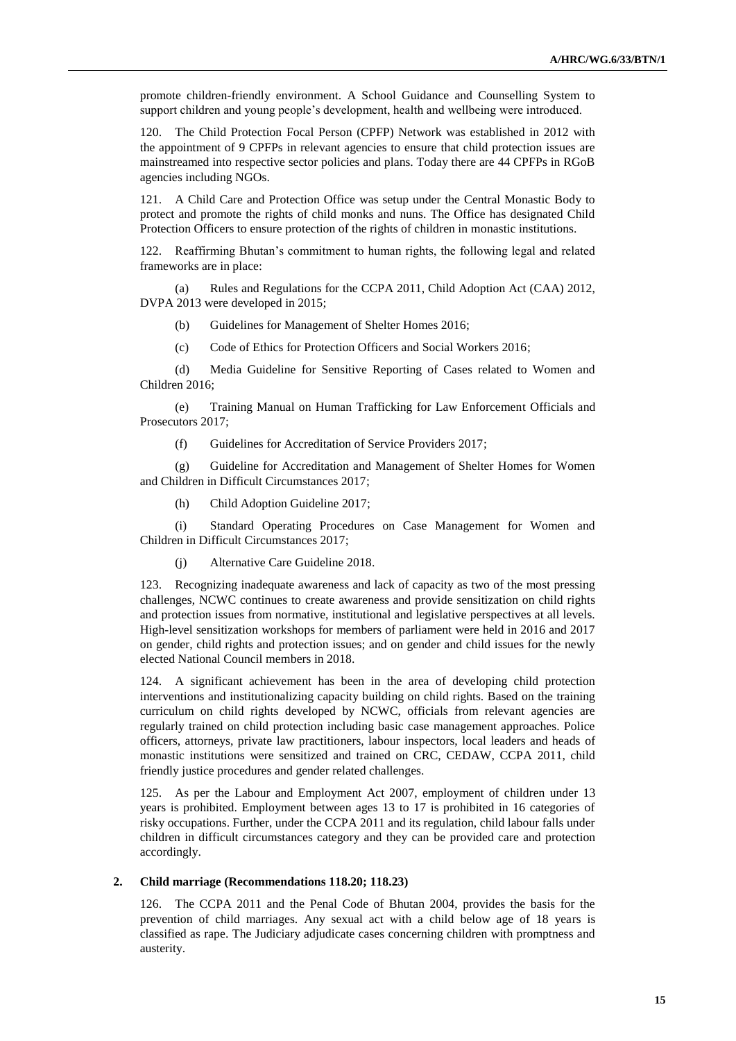promote children-friendly environment. A School Guidance and Counselling System to support children and young people's development, health and wellbeing were introduced.

120. The Child Protection Focal Person (CPFP) Network was established in 2012 with the appointment of 9 CPFPs in relevant agencies to ensure that child protection issues are mainstreamed into respective sector policies and plans. Today there are 44 CPFPs in RGoB agencies including NGOs.

121. A Child Care and Protection Office was setup under the Central Monastic Body to protect and promote the rights of child monks and nuns. The Office has designated Child Protection Officers to ensure protection of the rights of children in monastic institutions.

122. Reaffirming Bhutan's commitment to human rights, the following legal and related frameworks are in place:

(a) Rules and Regulations for the CCPA 2011, Child Adoption Act (CAA) 2012, DVPA 2013 were developed in 2015;

(b) Guidelines for Management of Shelter Homes 2016;

(c) Code of Ethics for Protection Officers and Social Workers 2016;

(d) Media Guideline for Sensitive Reporting of Cases related to Women and Children 2016;

(e) Training Manual on Human Trafficking for Law Enforcement Officials and Prosecutors 2017;

(f) Guidelines for Accreditation of Service Providers 2017;

(g) Guideline for Accreditation and Management of Shelter Homes for Women and Children in Difficult Circumstances 2017;

(h) Child Adoption Guideline 2017;

(i) Standard Operating Procedures on Case Management for Women and Children in Difficult Circumstances 2017;

(j) Alternative Care Guideline 2018.

123. Recognizing inadequate awareness and lack of capacity as two of the most pressing challenges, NCWC continues to create awareness and provide sensitization on child rights and protection issues from normative, institutional and legislative perspectives at all levels. High-level sensitization workshops for members of parliament were held in 2016 and 2017 on gender, child rights and protection issues; and on gender and child issues for the newly elected National Council members in 2018.

124. A significant achievement has been in the area of developing child protection interventions and institutionalizing capacity building on child rights. Based on the training curriculum on child rights developed by NCWC, officials from relevant agencies are regularly trained on child protection including basic case management approaches. Police officers, attorneys, private law practitioners, labour inspectors, local leaders and heads of monastic institutions were sensitized and trained on CRC, CEDAW, CCPA 2011, child friendly justice procedures and gender related challenges.

125. As per the Labour and Employment Act 2007, employment of children under 13 years is prohibited. Employment between ages 13 to 17 is prohibited in 16 categories of risky occupations. Further, under the CCPA 2011 and its regulation, child labour falls under children in difficult circumstances category and they can be provided care and protection accordingly.

#### **2. Child marriage (Recommendations 118.20; 118.23)**

126. The CCPA 2011 and the Penal Code of Bhutan 2004, provides the basis for the prevention of child marriages. Any sexual act with a child below age of 18 years is classified as rape. The Judiciary adjudicate cases concerning children with promptness and austerity.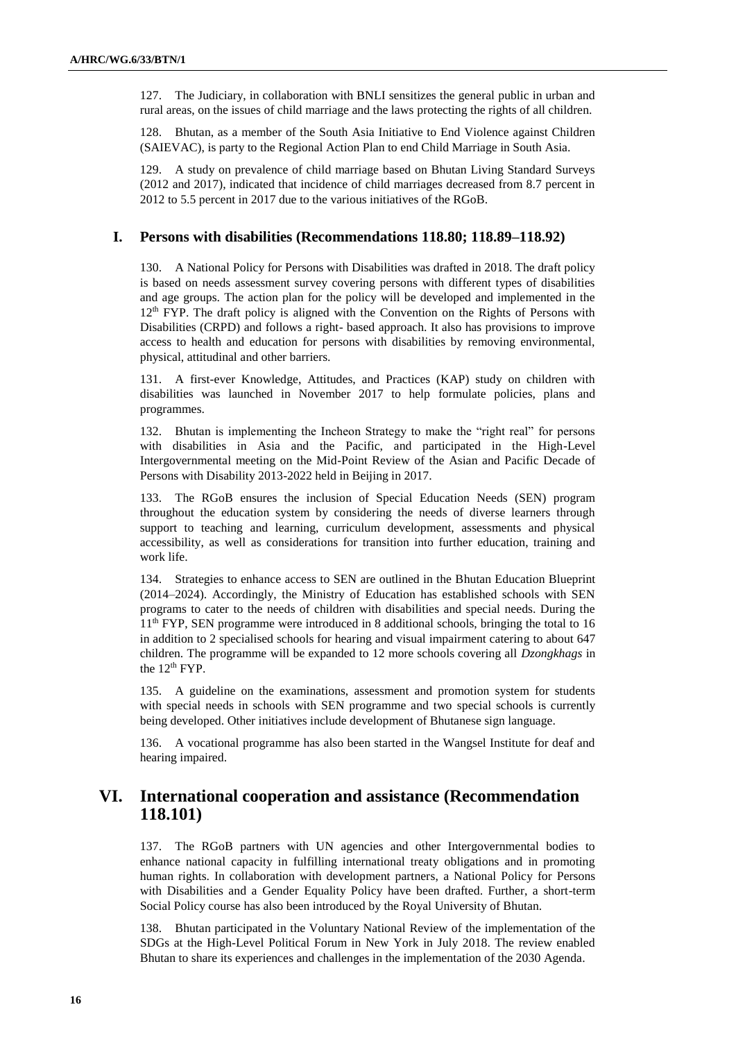127. The Judiciary, in collaboration with BNLI sensitizes the general public in urban and rural areas, on the issues of child marriage and the laws protecting the rights of all children.

128. Bhutan, as a member of the South Asia Initiative to End Violence against Children (SAIEVAC), is party to the Regional Action Plan to end Child Marriage in South Asia.

129. A study on prevalence of child marriage based on Bhutan Living Standard Surveys (2012 and 2017), indicated that incidence of child marriages decreased from 8.7 percent in 2012 to 5.5 percent in 2017 due to the various initiatives of the RGoB.

### **I. Persons with disabilities (Recommendations 118.80; 118.89–118.92)**

130. A National Policy for Persons with Disabilities was drafted in 2018. The draft policy is based on needs assessment survey covering persons with different types of disabilities and age groups. The action plan for the policy will be developed and implemented in the  $12<sup>th</sup>$  FYP. The draft policy is aligned with the Convention on the Rights of Persons with Disabilities (CRPD) and follows a right- based approach. It also has provisions to improve access to health and education for persons with disabilities by removing environmental, physical, attitudinal and other barriers.

131. A first-ever Knowledge, Attitudes, and Practices (KAP) study on children with disabilities was launched in November 2017 to help formulate policies, plans and programmes.

132. Bhutan is implementing the Incheon Strategy to make the "right real" for persons with disabilities in Asia and the Pacific, and participated in the High-Level Intergovernmental meeting on the Mid-Point Review of the Asian and Pacific Decade of Persons with Disability 2013-2022 held in Beijing in 2017.

133. The RGoB ensures the inclusion of Special Education Needs (SEN) program throughout the education system by considering the needs of diverse learners through support to teaching and learning, curriculum development, assessments and physical accessibility, as well as considerations for transition into further education, training and work life.

134. Strategies to enhance access to SEN are outlined in the Bhutan Education Blueprint (2014–2024). Accordingly, the Ministry of Education has established schools with SEN programs to cater to the needs of children with disabilities and special needs. During the 11th FYP, SEN programme were introduced in 8 additional schools, bringing the total to 16 in addition to 2 specialised schools for hearing and visual impairment catering to about 647 children. The programme will be expanded to 12 more schools covering all *Dzongkhags* in the 12<sup>th</sup> FYP.

135. A guideline on the examinations, assessment and promotion system for students with special needs in schools with SEN programme and two special schools is currently being developed. Other initiatives include development of Bhutanese sign language.

136. A vocational programme has also been started in the Wangsel Institute for deaf and hearing impaired.

# **VI. International cooperation and assistance (Recommendation 118.101)**

137. The RGoB partners with UN agencies and other Intergovernmental bodies to enhance national capacity in fulfilling international treaty obligations and in promoting human rights. In collaboration with development partners, a National Policy for Persons with Disabilities and a Gender Equality Policy have been drafted. Further, a short-term Social Policy course has also been introduced by the Royal University of Bhutan.

138. Bhutan participated in the Voluntary National Review of the implementation of the SDGs at the High-Level Political Forum in New York in July 2018. The review enabled Bhutan to share its experiences and challenges in the implementation of the 2030 Agenda.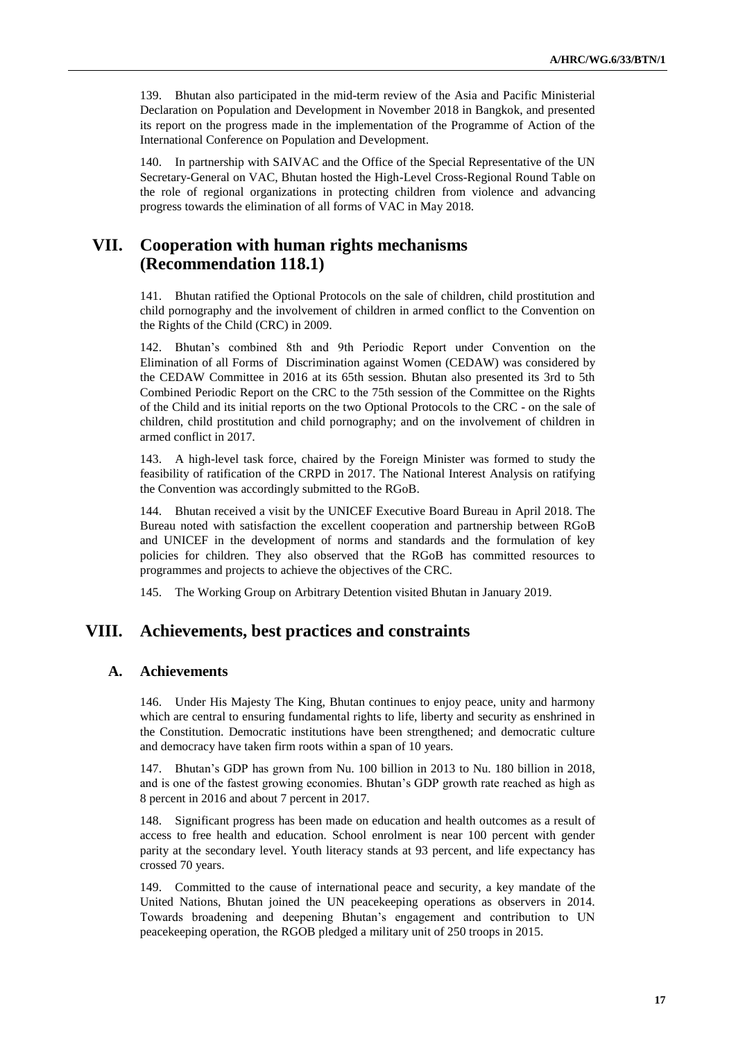139. Bhutan also participated in the mid-term review of the Asia and Pacific Ministerial Declaration on Population and Development in November 2018 in Bangkok, and presented its report on the progress made in the implementation of the Programme of Action of the International Conference on Population and Development.

140. In partnership with SAIVAC and the Office of the Special Representative of the UN Secretary-General on VAC, Bhutan hosted the High-Level Cross-Regional Round Table on the role of regional organizations in protecting children from violence and advancing progress towards the elimination of all forms of VAC in May 2018.

## **VII. Cooperation with human rights mechanisms (Recommendation 118.1)**

141. Bhutan ratified the Optional Protocols on the sale of children, child prostitution and child pornography and the involvement of children in armed conflict to the Convention on the Rights of the Child (CRC) in 2009.

142. Bhutan's combined 8th and 9th Periodic Report under Convention on the Elimination of all Forms of Discrimination against Women (CEDAW) was considered by the CEDAW Committee in 2016 at its 65th session. Bhutan also presented its 3rd to 5th Combined Periodic Report on the CRC to the 75th session of the Committee on the Rights of the Child and its initial reports on the two Optional Protocols to the CRC - on the sale of children, child prostitution and child pornography; and on the involvement of children in armed conflict in 2017.

143. A high-level task force, chaired by the Foreign Minister was formed to study the feasibility of ratification of the CRPD in 2017. The National Interest Analysis on ratifying the Convention was accordingly submitted to the RGoB.

144. Bhutan received a visit by the UNICEF Executive Board Bureau in April 2018. The Bureau noted with satisfaction the excellent cooperation and partnership between RGoB and UNICEF in the development of norms and standards and the formulation of key policies for children. They also observed that the RGoB has committed resources to programmes and projects to achieve the objectives of the CRC.

145. The Working Group on Arbitrary Detention visited Bhutan in January 2019.

## **VIII. Achievements, best practices and constraints**

## **A. Achievements**

146. Under His Majesty The King, Bhutan continues to enjoy peace, unity and harmony which are central to ensuring fundamental rights to life, liberty and security as enshrined in the Constitution. Democratic institutions have been strengthened; and democratic culture and democracy have taken firm roots within a span of 10 years.

147. Bhutan's GDP has grown from Nu. 100 billion in 2013 to Nu. 180 billion in 2018, and is one of the fastest growing economies. Bhutan's GDP growth rate reached as high as 8 percent in 2016 and about 7 percent in 2017.

148. Significant progress has been made on education and health outcomes as a result of access to free health and education. School enrolment is near 100 percent with gender parity at the secondary level. Youth literacy stands at 93 percent, and life expectancy has crossed 70 years.

149. Committed to the cause of international peace and security, a key mandate of the United Nations, Bhutan joined the UN peacekeeping operations as observers in 2014. Towards broadening and deepening Bhutan's engagement and contribution to UN peacekeeping operation, the RGOB pledged a military unit of 250 troops in 2015.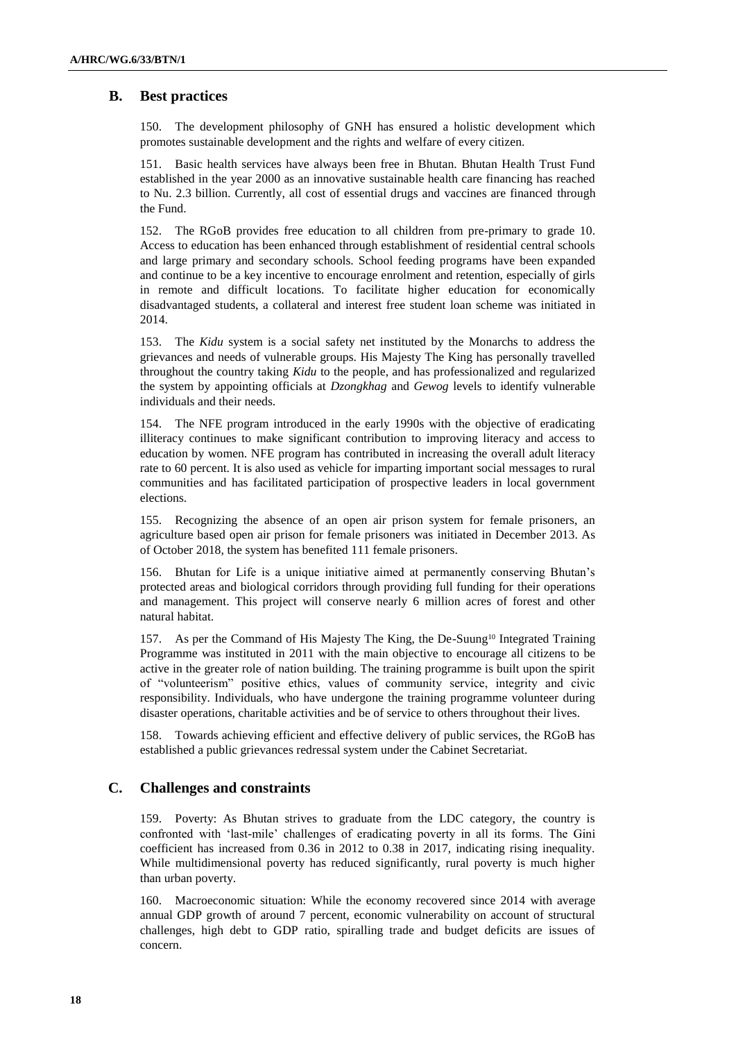## **B. Best practices**

150. The development philosophy of GNH has ensured a holistic development which promotes sustainable development and the rights and welfare of every citizen.

151. Basic health services have always been free in Bhutan. Bhutan Health Trust Fund established in the year 2000 as an innovative sustainable health care financing has reached to Nu. 2.3 billion. Currently, all cost of essential drugs and vaccines are financed through the Fund.

152. The RGoB provides free education to all children from pre-primary to grade 10. Access to education has been enhanced through establishment of residential central schools and large primary and secondary schools. School feeding programs have been expanded and continue to be a key incentive to encourage enrolment and retention, especially of girls in remote and difficult locations. To facilitate higher education for economically disadvantaged students, a collateral and interest free student loan scheme was initiated in 2014.

153. The *Kidu* system is a social safety net instituted by the Monarchs to address the grievances and needs of vulnerable groups. His Majesty The King has personally travelled throughout the country taking *Kidu* to the people, and has professionalized and regularized the system by appointing officials at *Dzongkhag* and *Gewog* levels to identify vulnerable individuals and their needs.

154. The NFE program introduced in the early 1990s with the objective of eradicating illiteracy continues to make significant contribution to improving literacy and access to education by women. NFE program has contributed in increasing the overall adult literacy rate to 60 percent. It is also used as vehicle for imparting important social messages to rural communities and has facilitated participation of prospective leaders in local government elections.

155. Recognizing the absence of an open air prison system for female prisoners, an agriculture based open air prison for female prisoners was initiated in December 2013. As of October 2018, the system has benefited 111 female prisoners.

Bhutan for Life is a unique initiative aimed at permanently conserving Bhutan's protected areas and biological corridors through providing full funding for their operations and management. This project will conserve nearly 6 million acres of forest and other natural habitat.

157. As per the Command of His Majesty The King, the De-Suung<sup>10</sup> Integrated Training Programme was instituted in 2011 with the main objective to encourage all citizens to be active in the greater role of nation building. The training programme is built upon the spirit of "volunteerism" positive ethics, values of community service, integrity and civic responsibility. Individuals, who have undergone the training programme volunteer during disaster operations, charitable activities and be of service to others throughout their lives.

158. Towards achieving efficient and effective delivery of public services, the RGoB has established a public grievances redressal system under the Cabinet Secretariat.

## **C. Challenges and constraints**

159. Poverty: As Bhutan strives to graduate from the LDC category, the country is confronted with 'last-mile' challenges of eradicating poverty in all its forms. The Gini coefficient has increased from 0.36 in 2012 to 0.38 in 2017, indicating rising inequality. While multidimensional poverty has reduced significantly, rural poverty is much higher than urban poverty.

160. Macroeconomic situation: While the economy recovered since 2014 with average annual GDP growth of around 7 percent, economic vulnerability on account of structural challenges, high debt to GDP ratio, spiralling trade and budget deficits are issues of concern.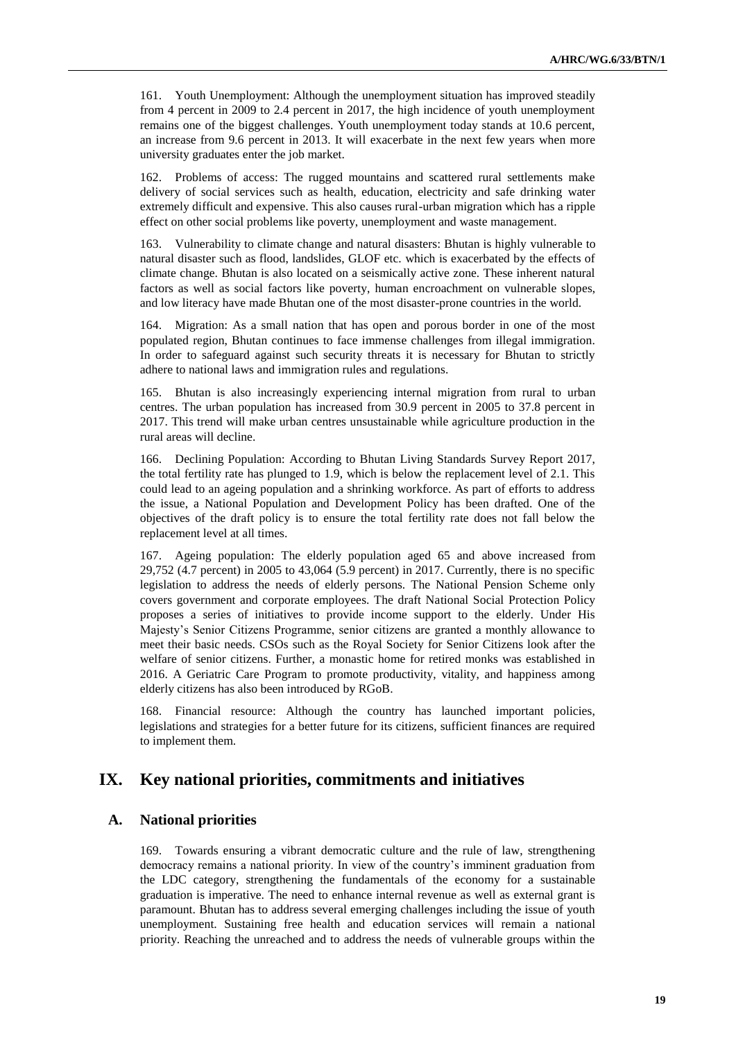161. Youth Unemployment: Although the unemployment situation has improved steadily from 4 percent in 2009 to 2.4 percent in 2017, the high incidence of youth unemployment remains one of the biggest challenges. Youth unemployment today stands at 10.6 percent, an increase from 9.6 percent in 2013. It will exacerbate in the next few years when more university graduates enter the job market.

162. Problems of access: The rugged mountains and scattered rural settlements make delivery of social services such as health, education, electricity and safe drinking water extremely difficult and expensive. This also causes rural-urban migration which has a ripple effect on other social problems like poverty, unemployment and waste management.

163. Vulnerability to climate change and natural disasters: Bhutan is highly vulnerable to natural disaster such as flood, landslides, GLOF etc. which is exacerbated by the effects of climate change. Bhutan is also located on a seismically active zone. These inherent natural factors as well as social factors like poverty, human encroachment on vulnerable slopes, and low literacy have made Bhutan one of the most disaster-prone countries in the world.

164. Migration: As a small nation that has open and porous border in one of the most populated region, Bhutan continues to face immense challenges from illegal immigration. In order to safeguard against such security threats it is necessary for Bhutan to strictly adhere to national laws and immigration rules and regulations.

165. Bhutan is also increasingly experiencing internal migration from rural to urban centres. The urban population has increased from 30.9 percent in 2005 to 37.8 percent in 2017. This trend will make urban centres unsustainable while agriculture production in the rural areas will decline.

166. Declining Population: According to Bhutan Living Standards Survey Report 2017, the total fertility rate has plunged to 1.9, which is below the replacement level of 2.1. This could lead to an ageing population and a shrinking workforce. As part of efforts to address the issue, a National Population and Development Policy has been drafted. One of the objectives of the draft policy is to ensure the total fertility rate does not fall below the replacement level at all times.

167. Ageing population: The elderly population aged 65 and above increased from 29,752 (4.7 percent) in 2005 to 43,064 (5.9 percent) in 2017. Currently, there is no specific legislation to address the needs of elderly persons. The National Pension Scheme only covers government and corporate employees. The draft National Social Protection Policy proposes a series of initiatives to provide income support to the elderly. Under His Majesty's Senior Citizens Programme, senior citizens are granted a monthly allowance to meet their basic needs. CSOs such as the Royal Society for Senior Citizens look after the welfare of senior citizens. Further, a monastic home for retired monks was established in 2016. A Geriatric Care Program to promote productivity, vitality, and happiness among elderly citizens has also been introduced by RGoB.

168. Financial resource: Although the country has launched important policies, legislations and strategies for a better future for its citizens, sufficient finances are required to implement them.

## **IX. Key national priorities, commitments and initiatives**

## **A. National priorities**

169. Towards ensuring a vibrant democratic culture and the rule of law, strengthening democracy remains a national priority. In view of the country's imminent graduation from the LDC category, strengthening the fundamentals of the economy for a sustainable graduation is imperative. The need to enhance internal revenue as well as external grant is paramount. Bhutan has to address several emerging challenges including the issue of youth unemployment. Sustaining free health and education services will remain a national priority. Reaching the unreached and to address the needs of vulnerable groups within the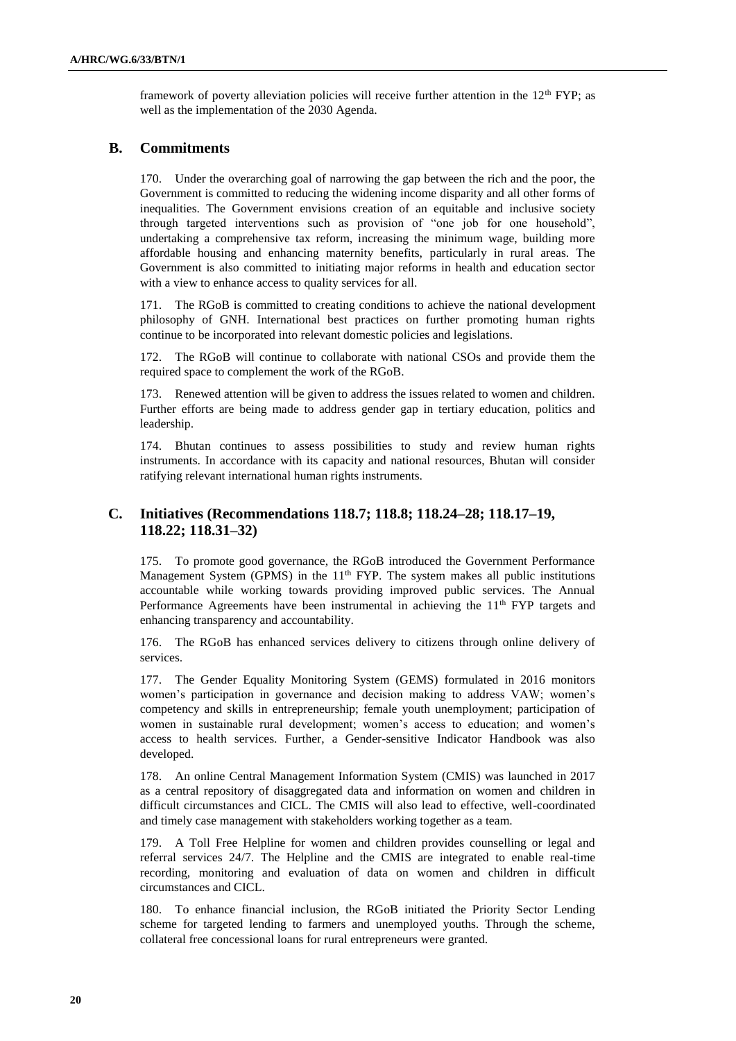framework of poverty alleviation policies will receive further attention in the  $12<sup>th</sup> FYP$ ; as well as the implementation of the 2030 Agenda.

## **B. Commitments**

170. Under the overarching goal of narrowing the gap between the rich and the poor, the Government is committed to reducing the widening income disparity and all other forms of inequalities. The Government envisions creation of an equitable and inclusive society through targeted interventions such as provision of "one job for one household", undertaking a comprehensive tax reform, increasing the minimum wage, building more affordable housing and enhancing maternity benefits, particularly in rural areas. The Government is also committed to initiating major reforms in health and education sector with a view to enhance access to quality services for all.

171. The RGoB is committed to creating conditions to achieve the national development philosophy of GNH. International best practices on further promoting human rights continue to be incorporated into relevant domestic policies and legislations.

172. The RGoB will continue to collaborate with national CSOs and provide them the required space to complement the work of the RGoB.

173. Renewed attention will be given to address the issues related to women and children. Further efforts are being made to address gender gap in tertiary education, politics and leadership.

174. Bhutan continues to assess possibilities to study and review human rights instruments. In accordance with its capacity and national resources, Bhutan will consider ratifying relevant international human rights instruments.

## **C. Initiatives (Recommendations 118.7; 118.8; 118.24–28; 118.17–19, 118.22; 118.31–32)**

175. To promote good governance, the RGoB introduced the Government Performance Management System (GPMS) in the  $11<sup>th</sup>$  FYP. The system makes all public institutions accountable while working towards providing improved public services. The Annual Performance Agreements have been instrumental in achieving the 11<sup>th</sup> FYP targets and enhancing transparency and accountability.

176. The RGoB has enhanced services delivery to citizens through online delivery of services.

177. The Gender Equality Monitoring System (GEMS) formulated in 2016 monitors women's participation in governance and decision making to address VAW; women's competency and skills in entrepreneurship; female youth unemployment; participation of women in sustainable rural development; women's access to education; and women's access to health services. Further, a Gender-sensitive Indicator Handbook was also developed.

178. An online Central Management Information System (CMIS) was launched in 2017 as a central repository of disaggregated data and information on women and children in difficult circumstances and CICL. The CMIS will also lead to effective, well-coordinated and timely case management with stakeholders working together as a team.

179. A Toll Free Helpline for women and children provides counselling or legal and referral services 24/7. The Helpline and the CMIS are integrated to enable real-time recording, monitoring and evaluation of data on women and children in difficult circumstances and CICL.

180. To enhance financial inclusion, the RGoB initiated the Priority Sector Lending scheme for targeted lending to farmers and unemployed youths. Through the scheme, collateral free concessional loans for rural entrepreneurs were granted.